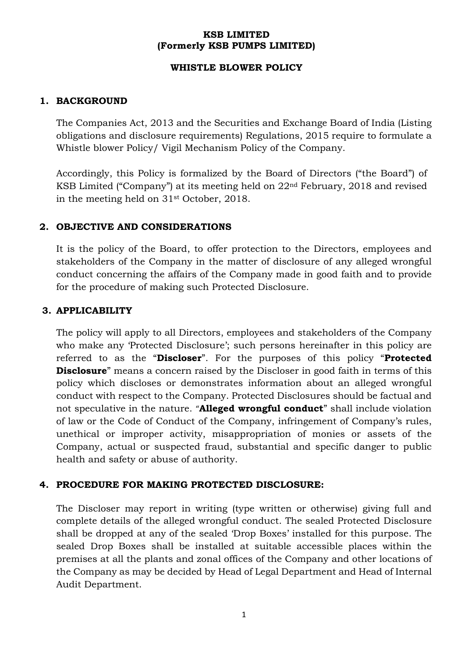### **KSB LIMITED (Formerly KSB PUMPS LIMITED)**

#### **WHISTLE BLOWER POLICY**

### **1. BACKGROUND**

The Companies Act, 2013 and the Securities and Exchange Board of India (Listing obligations and disclosure requirements) Regulations, 2015 require to formulate a Whistle blower Policy/ Vigil Mechanism Policy of the Company.

Accordingly, this Policy is formalized by the Board of Directors ("the Board") of KSB Limited ("Company") at its meeting held on 22nd February, 2018 and revised in the meeting held on 31st October, 2018.

### **2. OBJECTIVE AND CONSIDERATIONS**

It is the policy of the Board, to offer protection to the Directors, employees and stakeholders of the Company in the matter of disclosure of any alleged wrongful conduct concerning the affairs of the Company made in good faith and to provide for the procedure of making such Protected Disclosure.

#### **3. APPLICABILITY**

The policy will apply to all Directors, employees and stakeholders of the Company who make any 'Protected Disclosure'; such persons hereinafter in this policy are referred to as the "**Discloser**". For the purposes of this policy "**Protected Disclosure**" means a concern raised by the Discloser in good faith in terms of this policy which discloses or demonstrates information about an alleged wrongful conduct with respect to the Company. Protected Disclosures should be factual and not speculative in the nature. "**Alleged wrongful conduct**" shall include violation of law or the Code of Conduct of the Company, infringement of Company's rules, unethical or improper activity, misappropriation of monies or assets of the Company, actual or suspected fraud, substantial and specific danger to public health and safety or abuse of authority.

# **4. PROCEDURE FOR MAKING PROTECTED DISCLOSURE:**

The Discloser may report in writing (type written or otherwise) giving full and complete details of the alleged wrongful conduct. The sealed Protected Disclosure shall be dropped at any of the sealed 'Drop Boxes' installed for this purpose. The sealed Drop Boxes shall be installed at suitable accessible places within the premises at all the plants and zonal offices of the Company and other locations of the Company as may be decided by Head of Legal Department and Head of Internal Audit Department.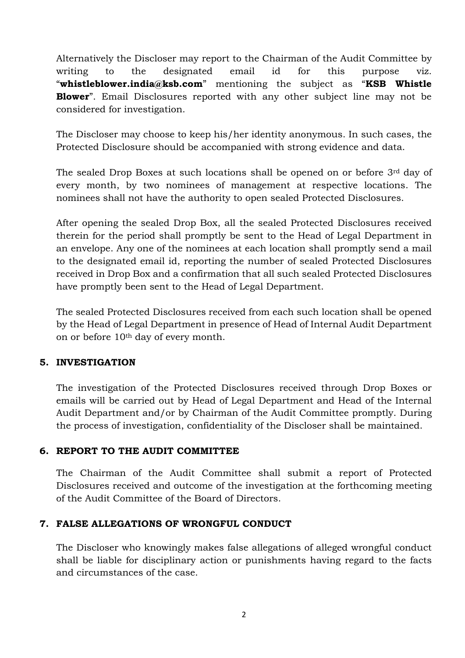Alternatively the Discloser may report to the Chairman of the Audit Committee by writing to the designated email id for this purpose viz. "**[whistleblower.india@ksb.com](mailto:whistleblower.india@ksb.com)**" mentioning the subject as "**KSB Whistle Blower**". Email Disclosures reported with any other subject line may not be considered for investigation.

The Discloser may choose to keep his/her identity anonymous. In such cases, the Protected Disclosure should be accompanied with strong evidence and data.

The sealed Drop Boxes at such locations shall be opened on or before 3rd day of every month, by two nominees of management at respective locations. The nominees shall not have the authority to open sealed Protected Disclosures.

After opening the sealed Drop Box, all the sealed Protected Disclosures received therein for the period shall promptly be sent to the Head of Legal Department in an envelope. Any one of the nominees at each location shall promptly send a mail to the designated email id, reporting the number of sealed Protected Disclosures received in Drop Box and a confirmation that all such sealed Protected Disclosures have promptly been sent to the Head of Legal Department.

The sealed Protected Disclosures received from each such location shall be opened by the Head of Legal Department in presence of Head of Internal Audit Department on or before 10th day of every month.

# **5. INVESTIGATION**

The investigation of the Protected Disclosures received through Drop Boxes or emails will be carried out by Head of Legal Department and Head of the Internal Audit Department and/or by Chairman of the Audit Committee promptly. During the process of investigation, confidentiality of the Discloser shall be maintained.

# **6. REPORT TO THE AUDIT COMMITTEE**

The Chairman of the Audit Committee shall submit a report of Protected Disclosures received and outcome of the investigation at the forthcoming meeting of the Audit Committee of the Board of Directors.

#### **7. FALSE ALLEGATIONS OF WRONGFUL CONDUCT**

The Discloser who knowingly makes false allegations of alleged wrongful conduct shall be liable for disciplinary action or punishments having regard to the facts and circumstances of the case.